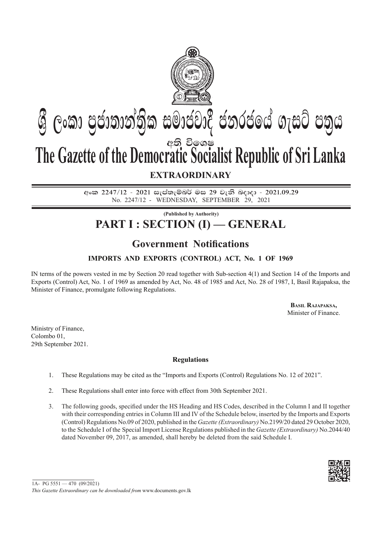

# අති විඉශ**ෂ The Gazette of the Democratic Socialist Republic of Sri Lanka**  $\mathfrak{G}$  ලංකා පුජාතාන්තික සමාජවාදී ජනරජයේ ගැසට් පතුය

### **EXTRAORDINARY**

අංක 2247/12 - 2021 සැප්තැම්බර් මස 29 වැනි බදාදා - 2021.09.29 No. 2247/12 - wednesday, september 29, 2021

### **(Published by Authority) PART I : SECTION (I) — GENERAL**

## **Government Notifications**

#### **IMPORTS AND EXPORTS (CONTROL) ACT, No. 1 OF 1969**

IN terms of the powers vested in me by Section 20 read together with Sub-section 4(1) and Section 14 of the Imports and Exports (Control) Act, No. 1 of 1969 as amended by Act, No. 48 of 1985 and Act, No. 28 of 1987, I, Basil Rajapaksa, the Minister of Finance, promulgate following Regulations.

> **Basil Rajapaksa,** Minister of Finance.

Ministry of Finance, Colombo 01, 29th September 2021.

#### **Regulations**

- 1. These Regulations may be cited as the "Imports and Exports (Control) Regulations No. 12 of 2021".
- 2. These Regulations shall enter into force with effect from 30th September 2021.
- 3. The following goods, specified under the HS Heading and HS Codes, described in the Column I and II together with their corresponding entries in Column III and IV of the Schedule below, inserted by the Imports and Exports (Control) Regulations No.09 of 2020, published in the *Gazette (Extraordinary)* No.2199/20 dated 29 October 2020, to the Schedule I of the Special Import License Regulations published in the *Gazette (Extraordinary)* No.2044/40 dated November 09, 2017, as amended, shall hereby be deleted from the said Schedule I.



 $1A- PG 5551 - 470 (09/2021)$ 

*This Gazette Extraordinary can be downloaded from* www.documents.gov.lk